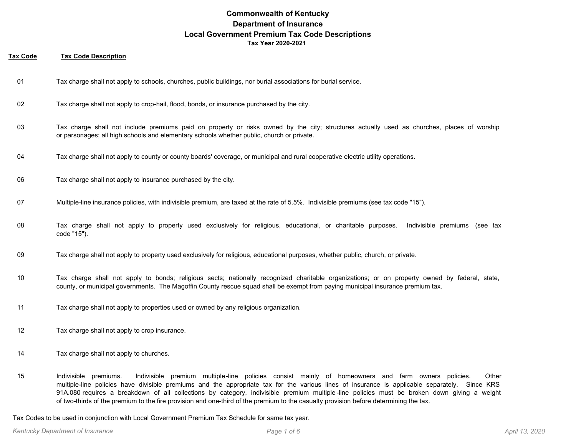#### **Tax Code Tax Code Description**

- 01 Tax charge shall not apply to schools, churches, public buildings, nor burial associations for burial service.
- 02 Tax charge shall not apply to crop-hail, flood, bonds, or insurance purchased by the city.
- Tax charge shall not include premiums paid on property or risks owned by the city; structures actually used as churches, places of worship or parsonages; all high schools and elementary schools whether public, church or private. 03
- 04 Tax charge shall not apply to county or county boards' coverage, or municipal and rural cooperative electric utility operations.
- 06 Tax charge shall not apply to insurance purchased by the city.
- 07 Multiple-line insurance policies, with indivisible premium, are taxed at the rate of 5.5%. Indivisible premiums (see tax code "15").
- Tax charge shall not apply to property used exclusively for religious, educational, or charitable purposes. Indivisible premiums (see tax code "15"). 08
- 09 Tax charge shall not apply to property used exclusively for religious, educational purposes, whether public, church, or private.
- Tax charge shall not apply to bonds; religious sects; nationally recognized charitable organizations; or on property owned by federal, state, county, or municipal governments. The Magoffin County rescue squad shall be exempt from paying municipal insurance premium tax. 10
- 11 Tax charge shall not apply to properties used or owned by any religious organization.
- 12 Tax charge shall not apply to crop insurance.
- 14 Tax charge shall not apply to churches.
- Indivisible premiums. Indivisible premium multiple-line policies consist mainly of homeowners and farm owners policies. Other multiple-line policies have divisible premiums and the appropriate tax for the various lines of insurance is applicable separately. Since KRS 91A.080 requires a breakdown of all collections by category, indivisible premium multiple -line policies must be broken down giving a weight of two-thirds of the premium to the fire provision and one-third of the premium to the casualty provision before determining the tax. 15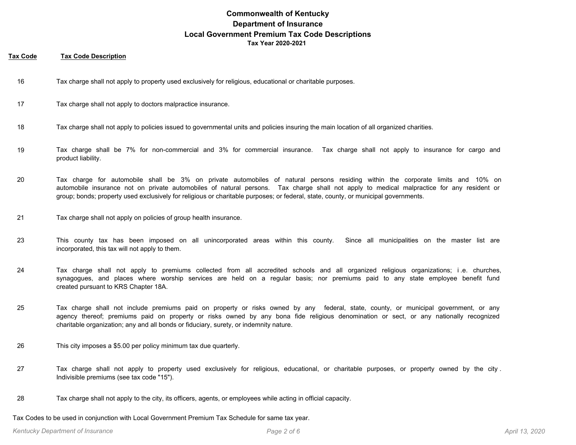#### **Tax Code Tax Code Description**

- 16 Tax charge shall not apply to property used exclusively for religious, educational or charitable purposes.
- 17 Tax charge shall not apply to doctors malpractice insurance.
- 18 Tax charge shall not apply to policies issued to governmental units and policies insuring the main location of all organized charities.
- Tax charge shall be 7% for non-commercial and 3% for commercial insurance. Tax charge shall not apply to insurance for cargo and product liability. 19
- Tax charge for automobile shall be 3% on private automobiles of natural persons residing within the corporate limits and 10% on automobile insurance not on private automobiles of natural persons. Tax charge shall not apply to medical malpractice for any resident or group; bonds; property used exclusively for religious or charitable purposes; or federal, state, county, or municipal governments. 20
- 21 Tax charge shall not apply on policies of group health insurance.
- This county tax has been imposed on all unincorporated areas within this county. Since all municipalities on the master list are incorporated, this tax will not apply to them. 23
- Tax charge shall not apply to premiums collected from all accredited schools and all organized religious organizations; i .e. churches, synagogues, and places where worship services are held on a regular basis; nor premiums paid to any state employee benefit fund created pursuant to KRS Chapter 18A. 24
- Tax charge shall not include premiums paid on property or risks owned by any federal, state, county, or municipal government, or any agency thereof; premiums paid on property or risks owned by any bona fide religious denomination or sect, or any nationally recognized charitable organization; any and all bonds or fiduciary, surety, or indemnity nature. 25
- 26 This city imposes a \$5.00 per policy minimum tax due quarterly.
- Tax charge shall not apply to property used exclusively for religious, educational, or charitable purposes, or property owned by the city . Indivisible premiums (see tax code "15"). 27
- 28 Tax charge shall not apply to the city, its officers, agents, or employees while acting in official capacity.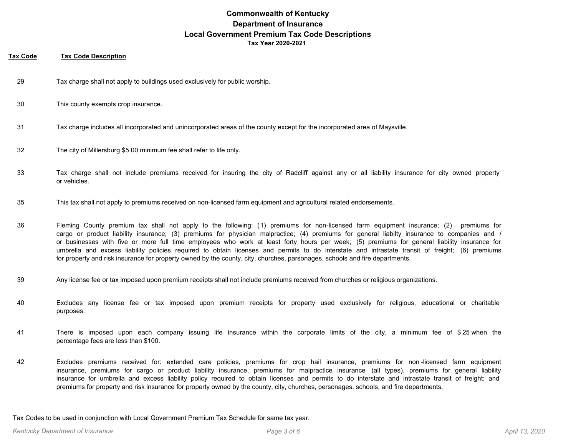### **Tax Code Tax Code Description**

- 29 Tax charge shall not apply to buildings used exclusively for public worship.
- 30 This county exempts crop insurance.
- 31 Tax charge includes all incorporated and unincorporated areas of the county except for the incorporated area of Maysville.
- 32 The city of Millersburg \$5.00 minimum fee shall refer to life only.
- Tax charge shall not include premiums received for insuring the city of Radcliff against any or all liability insurance for city owned property or vehicles. 33
- 35 This tax shall not apply to premiums received on non-licensed farm equipment and agricultural related endorsements.
- Fleming County premium tax shall not apply to the following: (1) premiums for non-licensed farm equipment insurance; (2) premiums for cargo or product liability insurance; (3) premiums for physician malpractice; (4) premiums for general liabilty insurance to companies and / or businesses with five or more full time employees who work at least forty hours per week; (5) premiums for general liability insurance for umbrella and excess liability policies required to obtain licenses and permits to do interstate and intrastate transit of freight; (6) premiums for property and risk insurance for property owned by the county, city, churches, parsonages, schools and fire departments. 36
- 39 Any license fee or tax imposed upon premium receipts shall not include premiums received from churches or religious organizations.
- Excludes any license fee or tax imposed upon premium receipts for property used exclusively for religious, educational or charitable purposes. 40
- There is imposed upon each company issuing life insurance within the corporate limits of the city, a minimum fee of \$ 25 when the percentage fees are less than \$100. 41
- Excludes premiums received for: extended care policies, premiums for crop hail insurance, premiums for non -licensed farm equipment insurance, premiums for cargo or product liability insurance, premiums for malpractice insurance (all types), premiums for general liability insurance for umbrella and excess liability policy required to obtain licenses and permits to do interstate and intrastate transit of freight; and premiums for property and risk insurance for property owned by the county, city, churches, personages, schools, and fire departments. 42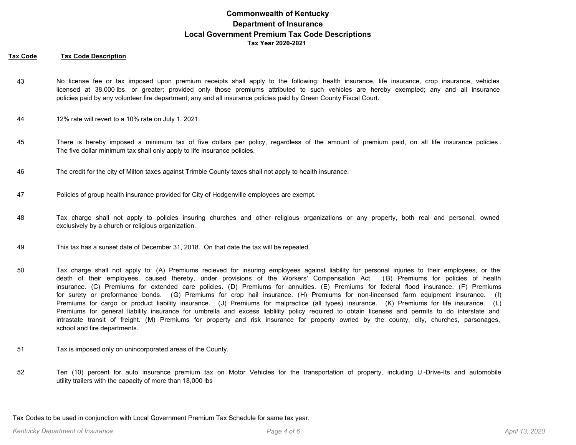### **Tax Code Tax Code Description**

- No license fee or tax imposed upon premium receipts shall apply to the following: health insurance, life insurance, crop insurance, vehicles licensed at 38,000 lbs. or greater; provided only those premiums attributed to such vehicles are hereby exempted; any and all insurance policies paid by any volunteer fire department; any and all insurance policies paid by Green County Fiscal Court. 43
- 44 12% rate will revert to a 10% rate on July 1, 2021.
- There is hereby imposed a minimum tax of five dollars per policy, regardless of the amount of premium paid, on all life insurance policies . The five dollar minimum tax shall only apply to life insurance policies. 45
- 46 The credit for the city of Milton taxes against Trimble County taxes shall not apply to health insurance.
- 47 Policies of group health insurance provided for City of Hodgenville employees are exempt.
- Tax charge shall not apply to policies insuring churches and other religious organizations or any property, both real and personal, owned exclusively by a church or religious organization. 48
- 49 This tax has a sunset date of December 31, 2018. On that date the tax will be repealed.
- Tax charge shall not apply to: (A) Premiums recieved for insuring employees against liability for personal injuries to their employees, or the death of their employees, caused thereby, under provisions of the Workers' Compensation Act. ( B) Premiums for policies of health insurance. (C) Premiums for extended care policies. (D) Premiums for annuities. (E) Premiums for federal flood insurance. (F) Premiums for surety or preformance bonds. (G) Premiums for crop hail insurance. (H) Premiums for non-lincensed farm equipment insurance. (I) Premiums for cargo or product liability insurance. (J) Premiums for malpractice (all types) insurance. (K) Premiums for life insurance. (L) Premiums for general liability insurance for umbrella and excess liablility policy required to obtain licenses and permits to do interstate and intrastate transit of freight. (M) Premiums for property and risk insurance for property owned by the county, city, churches, parsonages, school and fire departments. 50
- 51 Tax is imposed only on unincorporated areas of the County.
- Ten (10) percent for auto insurance premium tax on Motor Vehicles for the transportation of property, including U -Drive-Its and automobile utility trailers with the capacity of more than 18,000 lbs 52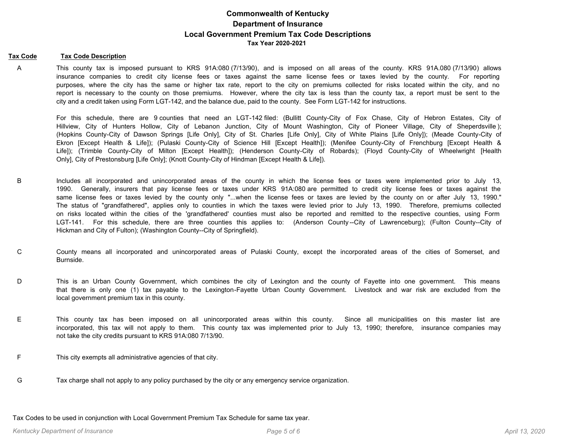#### **Tax Code Tax Code Description**

This county tax is imposed pursuant to KRS 91A:080 (7/13/90), and is imposed on all areas of the county. KRS 91A.080 (7/13/90) allows insurance companies to credit city license fees or taxes against the same license fees or taxes levied by the county. For reporting purposes, where the city has the same or higher tax rate, report to the city on premiums collected for risks located within the city, and no report is necessary to the county on those premiums. However, where the city tax is less than the county tax, a report must be sent to the city and a credit taken using Form LGT-142, and the balance due, paid to the county. See Form LGT-142 for instructions. A

For this schedule, there are 9 counties that need an LGT-142 filed: (Bullitt County-City of Fox Chase, City of Hebron Estates, City of Hillview, City of Hunters Hollow, City of Lebanon Junction, City of Mount Washington, City of Pioneer Village, City of Sheperdsville ); (Hopkins County-City of Dawson Springs [Life Only], City of St. Charles [Life Only], City of White Plains [Life Only]); (Meade County-City of Ekron [Except Health & Life]); (Pulaski County-City of Science Hill [Except Health]); (Menifee County-City of Frenchburg [Except Health & Life]); (Trimble County-City of Milton [Except Health]); (Henderson County-City of Robards); (Floyd County-City of Wheelwright [Health Only], City of Prestonsburg [Life Only]; (Knott County-City of Hindman [Except Health & Life]).

- Includes all incorporated and unincorporated areas of the county in which the license fees or taxes were implemented prior to July 13, 1990. Generally, insurers that pay license fees or taxes under KRS 91A:080 are permitted to credit city license fees or taxes against the same license fees or taxes levied by the county only "...when the license fees or taxes are levied by the county on or after July 13, 1990." The status of "grandfathered", applies only to counties in which the taxes were levied prior to July 13, 1990. Therefore, premiums collected on risks located within the cities of the 'grandfathered' counties must also be reported and remitted to the respective counties, using Form LGT-141. For this schedule, there are three counties this applies to: (Anderson County--City of Lawrenceburg); (Fulton County--City of Hickman and City of Fulton); (Washington County--City of Springfield). B
- County means all incorporated and unincorporated areas of Pulaski County, except the incorporated areas of the cities of Somerset, and Burnside. C
- This is an Urban County Government, which combines the city of Lexington and the county of Fayette into one government. This means that there is only one (1) tax payable to the Lexington-Fayette Urban County Government. Livestock and war risk are excluded from the local government premium tax in this county. D
- This county tax has been imposed on all unincorporated areas within this county. Since all municipalities on this master list are incorporated, this tax will not apply to them. This county tax was implemented prior to July 13, 1990; therefore, insurance companies may not take the city credits pursuant to KRS 91A:080 7/13/90. E
- F This city exempts all administrative agencies of that city.
- G Tax charge shall not apply to any policy purchased by the city or any emergency service organization.